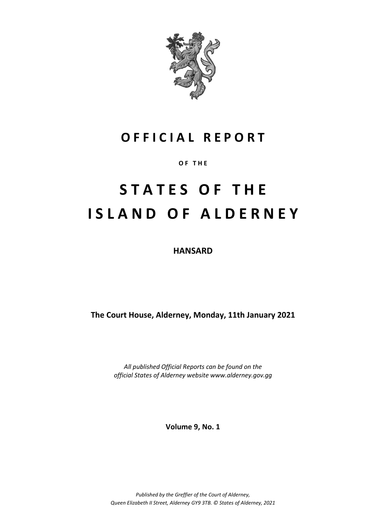

## **O F F I C I A L R E P O R T**

**O F T H E**

# **S T A T E S O F T H E I S L A N D O F A L D E R N E Y**

**HANSARD**

**The Court House, Alderney, Monday, 11th January 2021**

*All published Official Reports can be found on the official States of Alderney website www.alderney.gov.gg*

**Volume 9, No. 1**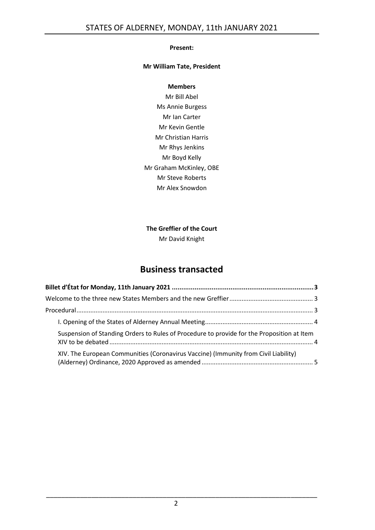#### **Present:**

#### **Mr William Tate, President**

#### **Members**

Mr Bill Abel Ms Annie Burgess Mr Ian Carter Mr Kevin Gentle Mr Christian Harris Mr Rhys Jenkins Mr Boyd Kelly Mr Graham McKinley, OBE Mr Steve Roberts Mr Alex Snowdon

### **The Greffier of the Court**

Mr David Knight

## **Business transacted**

| Suspension of Standing Orders to Rules of Procedure to provide for the Proposition at Item |  |
|--------------------------------------------------------------------------------------------|--|
| XIV. The European Communities (Coronavirus Vaccine) (Immunity from Civil Liability)        |  |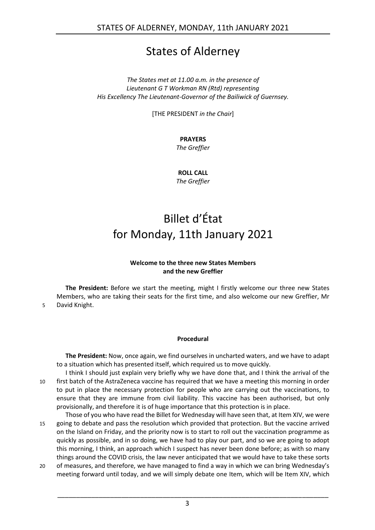## States of Alderney

*The States met at 11.00 a.m. in the presence of Lieutenant G T Workman RN (Rtd) representing His Excellency The Lieutenant-Governor of the Bailiwick of Guernsey.*

[THE PRESIDENT *in the Chair*]

**PRAYERS**

*The Greffier*

**ROLL CALL** *The Greffier*

# <span id="page-2-0"></span>Billet d'État for Monday, 11th January 2021

#### **Welcome to the three new States Members and the new Greffier**

<span id="page-2-1"></span>**The President:** Before we start the meeting, might I firstly welcome our three new States Members, who are taking their seats for the first time, and also welcome our new Greffier, Mr 5 David Knight.

#### **Procedural**

<span id="page-2-2"></span>**The President:** Now, once again, we find ourselves in uncharted waters, and we have to adapt to a situation which has presented itself, which required us to move quickly.

I think I should just explain very briefly why we have done that, and I think the arrival of the 10 first batch of the AstraZeneca vaccine has required that we have a meeting this morning in order to put in place the necessary protection for people who are carrying out the vaccinations, to ensure that they are immune from civil liability. This vaccine has been authorised, but only provisionally, and therefore it is of huge importance that this protection is in place.

Those of you who have read the Billet for Wednesday will have seen that, at Item XIV, we were 15 going to debate and pass the resolution which provided that protection. But the vaccine arrived on the Island on Friday, and the priority now is to start to roll out the vaccination programme as quickly as possible, and in so doing, we have had to play our part, and so we are going to adopt this morning, I think, an approach which I suspect has never been done before; as with so many things around the COVID crisis, the law never anticipated that we would have to take these sorts

20 of measures, and therefore, we have managed to find a way in which we can bring Wednesday's meeting forward until today, and we will simply debate one Item, which will be Item XIV, which

3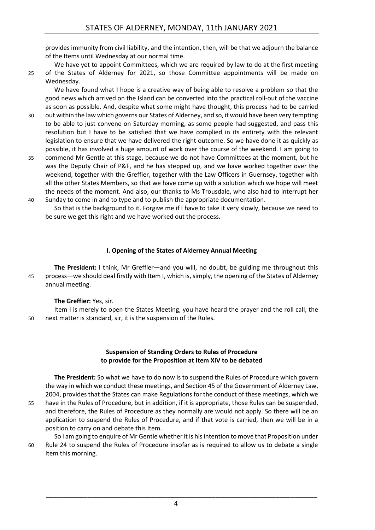provides immunity from civil liability, and the intention, then, will be that we adjourn the balance of the Items until Wednesday at our normal time.

We have yet to appoint Committees, which we are required by law to do at the first meeting 25 of the States of Alderney for 2021, so those Committee appointments will be made on Wednesday.

We have found what I hope is a creative way of being able to resolve a problem so that the good news which arrived on the Island can be converted into the practical roll-out of the vaccine as soon as possible. And, despite what some might have thought, this process had to be carried

- 30 out within the law which governs our States of Alderney, and so, it would have been very tempting to be able to just convene on Saturday morning, as some people had suggested, and pass this resolution but I have to be satisfied that we have complied in its entirety with the relevant legislation to ensure that we have delivered the right outcome. So we have done it as quickly as possible, it has involved a huge amount of work over the course of the weekend. I am going to
- 35 commend Mr Gentle at this stage, because we do not have Committees at the moment, but he was the Deputy Chair of P&F, and he has stepped up, and we have worked together over the weekend, together with the Greffier, together with the Law Officers in Guernsey, together with all the other States Members, so that we have come up with a solution which we hope will meet the needs of the moment. And also, our thanks to Ms Trousdale, who also had to interrupt her
- 40 Sunday to come in and to type and to publish the appropriate documentation. So that is the background to it. Forgive me if I have to take it very slowly, because we need to be sure we get this right and we have worked out the process.

#### **I. Opening of the States of Alderney Annual Meeting**

<span id="page-3-0"></span>**The President:** I think, Mr Greffier—and you will, no doubt, be guiding me throughout this 45 process—we should deal firstly with Item I, which is, simply, the opening of the States of Alderney annual meeting.

#### **The Greffier:** Yes, sir.

Item I is merely to open the States Meeting, you have heard the prayer and the roll call, the 50 next matter is standard, sir, it is the suspension of the Rules.

#### **Suspension of Standing Orders to Rules of Procedure to provide for the Proposition at Item XIV to be debated**

<span id="page-3-1"></span>**The President:** So what we have to do now is to suspend the Rules of Procedure which govern the way in which we conduct these meetings, and Section 45 of the Government of Alderney Law, 2004, provides that the States can make Regulations for the conduct of these meetings, which we

55 have in the Rules of Procedure, but in addition, if it is appropriate, those Rules can be suspended, and therefore, the Rules of Procedure as they normally are would not apply. So there will be an application to suspend the Rules of Procedure, and if that vote is carried, then we will be in a position to carry on and debate this Item.

So I am going to enquire of Mr Gentle whether it is his intention to move that Proposition under 60 Rule 24 to suspend the Rules of Procedure insofar as is required to allow us to debate a single Item this morning.

4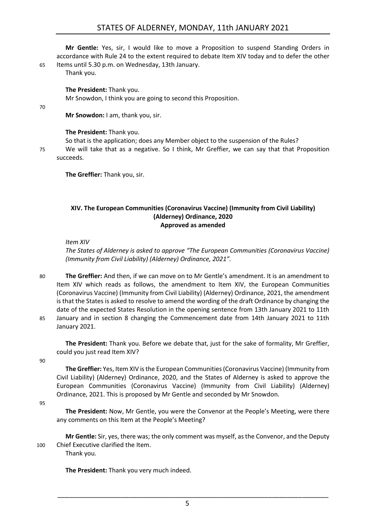#### STATES OF ALDERNEY, MONDAY, 11th JANUARY 2021

**Mr Gentle:** Yes, sir, I would like to move a Proposition to suspend Standing Orders in accordance with Rule 24 to the extent required to debate Item XIV today and to defer the other 65 Items until 5.30 p.m. on Wednesday, 13th January.

Thank you.

**The President:** Thank you.

Mr Snowdon, I think you are going to second this Proposition.

70

**Mr Snowdon:** I am, thank you, sir.

#### **The President:** Thank you.

So that is the application; does any Member object to the suspension of the Rules?

75 We will take that as a negative. So I think, Mr Greffier, we can say that that Proposition succeeds.

**The Greffier:** Thank you, sir.

#### <span id="page-4-0"></span>**XIV. The European Communities (Coronavirus Vaccine) (Immunity from Civil Liability) (Alderney) Ordinance, 2020 Approved as amended**

#### *Item XIV*

*The States of Alderney is asked to approve "The European Communities (Coronavirus Vaccine) (Immunity from Civil Liability) (Alderney) Ordinance, 2021".*

80 **The Greffier:** And then, if we can move on to Mr Gentle's amendment. It is an amendment to Item XIV which reads as follows, the amendment to Item XIV, the European Communities (Coronavirus Vaccine) (Immunity from Civil Liability) (Alderney) Ordinance, 2021, the amendment is that the States is asked to resolve to amend the wording of the draft Ordinance by changing the date of the expected States Resolution in the opening sentence from 13th January 2021 to 11th 85 January and in section 8 changing the Commencement date from 14th January 2021 to 11th January 2021.

**The President:** Thank you. Before we debate that, just for the sake of formality, Mr Greffier, could you just read Item XIV?

90

**The Greffier:** Yes, Item XIV is the European Communities (Coronavirus Vaccine) (Immunity from Civil Liability) (Alderney) Ordinance, 2020, and the States of Alderney is asked to approve the European Communities (Coronavirus Vaccine) (Immunity from Civil Liability) (Alderney) Ordinance, 2021. This is proposed by Mr Gentle and seconded by Mr Snowdon.

95

**The President:** Now, Mr Gentle, you were the Convenor at the People's Meeting, were there any comments on this Item at the People's Meeting?

**Mr Gentle:** Sir, yes, there was; the only comment was myself, as the Convenor, and the Deputy 100 Chief Executive clarified the Item.

Thank you.

**The President:** Thank you very much indeed.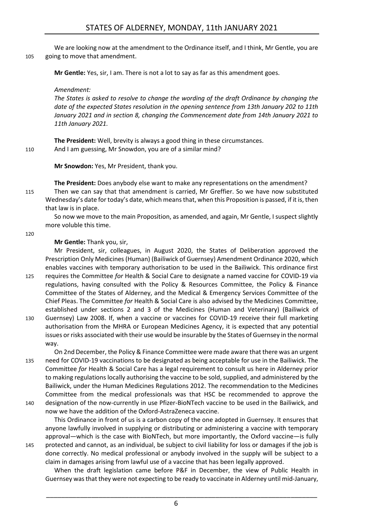We are looking now at the amendment to the Ordinance itself, and I think, Mr Gentle, you are 105 going to move that amendment.

**Mr Gentle:** Yes, sir, I am. There is not a lot to say as far as this amendment goes.

*Amendment:*

*The States is asked to resolve to change the wording of the draft Ordinance by changing the date of the expected States resolution in the opening sentence from 13th January 202 to 11th January 2021 and in section 8, changing the Commencement date from 14th January 2021 to 11th January 2021.*

**The President:** Well, brevity is always a good thing in these circumstances. 110 And I am guessing, Mr Snowdon, you are of a similar mind?

**Mr Snowdon:** Yes, Mr President, thank you.

**The President:** Does anybody else want to make any representations on the amendment? 115 Then we can say that that amendment is carried, Mr Greffier. So we have now substituted Wednesday's date for today's date, which means that, when this Proposition is passed, if it is, then that law is in place.

So now we move to the main Proposition, as amended, and again, Mr Gentle, I suspect slightly more voluble this time.

120

#### **Mr Gentle:** Thank you, sir,

Mr President, sir, colleagues, in August 2020, the States of Deliberation approved the Prescription Only Medicines (Human) (Bailiwick of Guernsey) Amendment Ordinance 2020, which enables vaccines with temporary authorisation to be used in the Bailiwick. This ordinance first 125 requires the Committee *for* Health & Social Care to designate a named vaccine for COVID-19 via regulations, having consulted with the Policy & Resources Committee, the Policy & Finance Committee of the States of Alderney, and the Medical & Emergency Services Committee of the Chief Pleas. The Committee *for* Health & Social Care is also advised by the Medicines Committee,

established under sections 2 and 3 of the Medicines (Human and Veterinary) (Bailiwick of 130 Guernsey) Law 2008. If, when a vaccine or vaccines for COVID-19 receive their full marketing authorisation from the MHRA or European Medicines Agency, it is expected that any potential issues or risks associated with their use would be insurable by the States of Guernsey in the normal way.

On 2nd December, the Policy & Finance Committee were made aware that there was an urgent 135 need for COVID-19 vaccinations to be designated as being acceptable for use in the Bailiwick. The Committee *for* Health & Social Care has a legal requirement to consult us here in Alderney prior to making regulations locally authorising the vaccine to be sold, supplied, and administered by the Bailiwick, under the Human Medicines Regulations 2012. The recommendation to the Medicines Committee from the medical professionals was that HSC be recommended to approve the

140 designation of the now-currently in use Pfizer-BioNTech vaccine to be used in the Bailiwick, and now we have the addition of the Oxford-AstraZeneca vaccine.

This Ordinance in front of us is a carbon copy of the one adopted in Guernsey. It ensures that anyone lawfully involved in supplying or distributing or administering a vaccine with temporary approval—which is the case with BioNTech, but more importantly, the Oxford vaccine—is fully

145 protected and cannot, as an individual, be subject to civil liability for loss or damages if the job is done correctly. No medical professional or anybody involved in the supply will be subject to a claim in damages arising from lawful use of a vaccine that has been legally approved.

When the draft legislation came before P&F in December, the view of Public Health in Guernsey was that they were not expecting to be ready to vaccinate in Alderney until mid-January,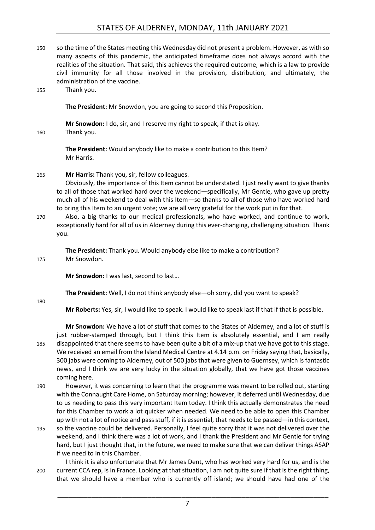#### STATES OF ALDERNEY, MONDAY, 11th JANUARY 2021

- 150 so the time of the States meeting this Wednesday did not present a problem. However, as with so many aspects of this pandemic, the anticipated timeframe does not always accord with the realities of the situation. That said, this achieves the required outcome, which is a law to provide civil immunity for all those involved in the provision, distribution, and ultimately, the administration of the vaccine.
- 155 Thank you.

**The President:** Mr Snowdon, you are going to second this Proposition.

**Mr Snowdon:** I do, sir, and I reserve my right to speak, if that is okay.

160 Thank you.

**The President:** Would anybody like to make a contribution to this Item? Mr Harris.

#### 165 **Mr Harris:** Thank you, sir, fellow colleagues.

Obviously, the importance of this Item cannot be understated. I just really want to give thanks to all of those that worked hard over the weekend—specifically, Mr Gentle, who gave up pretty much all of his weekend to deal with this Item—so thanks to all of those who have worked hard to bring this Item to an urgent vote; we are all very grateful for the work put in for that.

170 Also, a big thanks to our medical professionals, who have worked, and continue to work, exceptionally hard for all of us in Alderney during this ever-changing, challenging situation. Thank you.

**The President:** Thank you. Would anybody else like to make a contribution? 175 Mr Snowdon.

**Mr Snowdon:** I was last, second to last...

**The President:** Well, I do not think anybody else—oh sorry, did you want to speak?

180

**Mr Roberts:** Yes, sir, I would like to speak. I would like to speak last if that if that is possible.

**Mr Snowdon:** We have a lot of stuff that comes to the States of Alderney, and a lot of stuff is just rubber-stamped through, but I think this Item is absolutely essential, and I am really 185 disappointed that there seems to have been quite a bit of a mix-up that we have got to this stage. We received an email from the Island Medical Centre at 4.14 p.m. on Friday saying that, basically, 300 jabs were coming to Alderney, out of 500 jabs that were given to Guernsey, which is fantastic news, and I think we are very lucky in the situation globally, that we have got those vaccines coming here.

- 190 However, it was concerning to learn that the programme was meant to be rolled out, starting with the Connaught Care Home, on Saturday morning; however, it deferred until Wednesday, due to us needing to pass this very important Item today. I think this actually demonstrates the need for this Chamber to work a lot quicker when needed. We need to be able to open this Chamber up with not a lot of notice and pass stuff, if it is essential, that needs to be passed—in this context,
- 195 so the vaccine could be delivered. Personally, I feel quite sorry that it was not delivered over the weekend, and I think there was a lot of work, and I thank the President and Mr Gentle for trying hard, but I just thought that, in the future, we need to make sure that we can deliver things ASAP if we need to in this Chamber.

I think it is also unfortunate that Mr James Dent, who has worked very hard for us, and is the 200 current CCA rep, is in France. Looking at that situation, I am not quite sure if that is the right thing, that we should have a member who is currently off island; we should have had one of the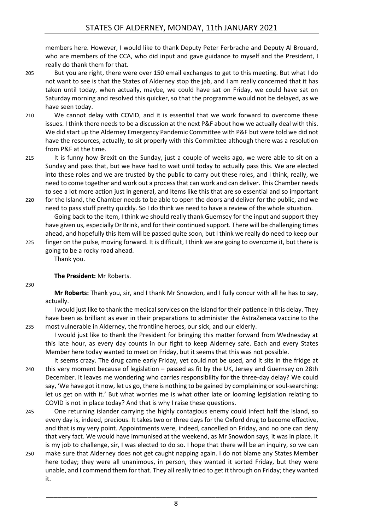members here. However, I would like to thank Deputy Peter Ferbrache and Deputy Al Brouard, who are members of the CCA, who did input and gave guidance to myself and the President, I really do thank them for that.

- 205 But you are right, there were over 150 email exchanges to get to this meeting. But what I do not want to see is that the States of Alderney stop the jab, and I am really concerned that it has taken until today, when actually, maybe, we could have sat on Friday, we could have sat on Saturday morning and resolved this quicker, so that the programme would not be delayed, as we have seen today.
- 210 We cannot delay with COVID, and it is essential that we work forward to overcome these issues. I think there needs to be a discussion at the next P&F about how we actually deal with this. We did start up the Alderney Emergency Pandemic Committee with P&F but were told we did not have the resources, actually, to sit properly with this Committee although there was a resolution from P&F at the time.
- 215 It is funny how Brexit on the Sunday, just a couple of weeks ago, we were able to sit on a Sunday and pass that, but we have had to wait until today to actually pass this. We are elected into these roles and we are trusted by the public to carry out these roles, and I think, really, we need to come together and work out a process that can work and can deliver. This Chamber needs to see a lot more action just in general, and Items like this that are so essential and so important
- 220 for the Island, the Chamber needs to be able to open the doors and deliver for the public, and we need to pass stuff pretty quickly. So I do think we need to have a review of the whole situation. Going back to the Item, I think we should really thank Guernsey for the input and support they have given us, especially Dr Brink, and for their continued support. There will be challenging times ahead, and hopefully this Item will be passed quite soon, but I think we really do need to keep our
- 225 finger on the pulse, moving forward. It is difficult, I think we are going to overcome it, but there is going to be a rocky road ahead. Thank you.

#### **The President:** Mr Roberts.

#### 230

**Mr Roberts:** Thank you, sir, and I thank Mr Snowdon, and I fully concur with all he has to say, actually.

I would just like to thank the medical services on the Island for their patience in this delay. They have been as brilliant as ever in their preparations to administer the AstraZeneca vaccine to the 235 most vulnerable in Alderney, the frontline heroes, our sick, and our elderly.

I would just like to thank the President for bringing this matter forward from Wednesday at this late hour, as every day counts in our fight to keep Alderney safe. Each and every States Member here today wanted to meet on Friday, but it seems that this was not possible.

- It seems crazy. The drug came early Friday, yet could not be used, and it sits in the fridge at 240 this very moment because of legislation – passed as fit by the UK, Jersey and Guernsey on 28th December. It leaves me wondering who carries responsibility for the three-day delay? We could say, 'We have got it now, let us go, there is nothing to be gained by complaining or soul-searching; let us get on with it.' But what worries me is what other late or looming legislation relating to COVID is not in place today? And that is why I raise these questions.
- 245 One returning islander carrying the highly contagious enemy could infect half the Island, so every day is, indeed, precious. It takes two or three days for the Oxford drug to become effective, and that is my very point. Appointments were, indeed, cancelled on Friday, and no one can deny that very fact. We would have immunised at the weekend, as Mr Snowdon says, it was in place. It is my job to challenge, sir, I was elected to do so. I hope that there will be an inquiry, so we can
- 250 make sure that Alderney does not get caught napping again. I do not blame any States Member here today; they were all unanimous, in person, they wanted it sorted Friday, but they were unable, and I commend them for that. They all really tried to get it through on Friday; they wanted it.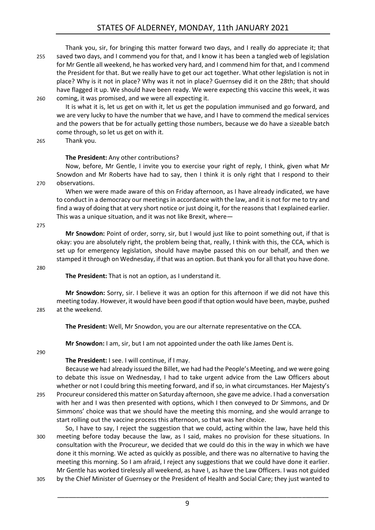#### STATES OF ALDERNEY, MONDAY, 11th JANUARY 2021

Thank you, sir, for bringing this matter forward two days, and I really do appreciate it; that 255 saved two days, and I commend you for that, and I know it has been a tangled web of legislation for Mr Gentle all weekend, he has worked very hard, and I commend him for that, and I commend the President for that. But we really have to get our act together. What other legislation is not in place? Why is it not in place? Why was it not in place? Guernsey did it on the 28th; that should have flagged it up. We should have been ready. We were expecting this vaccine this week, it was 260 coming, it was promised, and we were all expecting it.

It is what it is, let us get on with it, let us get the population immunised and go forward, and we are very lucky to have the number that we have, and I have to commend the medical services and the powers that be for actually getting those numbers, because we do have a sizeable batch come through, so let us get on with it.

265 Thank you.

#### **The President:** Any other contributions?

Now, before, Mr Gentle, I invite you to exercise your right of reply, I think, given what Mr Snowdon and Mr Roberts have had to say, then I think it is only right that I respond to their 270 observations.

When we were made aware of this on Friday afternoon, as I have already indicated, we have to conduct in a democracy our meetings in accordance with the law, and it is not for me to try and find a way of doing that at very short notice or just doing it, for the reasonsthat I explained earlier. This was a unique situation, and it was not like Brexit, where—

275

**Mr Snowdon:** Point of order, sorry, sir, but I would just like to point something out, if that is okay: you are absolutely right, the problem being that, really, I think with this, the CCA, which is set up for emergency legislation, should have maybe passed this on our behalf, and then we stamped it through on Wednesday, if that was an option. But thank you for all that you have done.

280

**The President:** That is not an option, as I understand it.

**Mr Snowdon:** Sorry, sir. I believe it was an option for this afternoon if we did not have this meeting today. However, it would have been good if that option would have been, maybe, pushed 285 at the weekend.

**The President:** Well, Mr Snowdon, you are our alternate representative on the CCA.

**Mr Snowdon:** I am, sir, but I am not appointed under the oath like James Dent is.

290

**The President:** I see. I will continue, if I may.

Because we had already issued the Billet, we had had the People's Meeting, and we were going to debate this issue on Wednesday, I had to take urgent advice from the Law Officers about whether or not I could bring this meeting forward, and if so, in what circumstances. Her Majesty's 295 Procureur considered this matter on Saturday afternoon, she gave me advice. I had a conversation with her and I was then presented with options, which I then conveyed to Dr Simmons, and Dr Simmons' choice was that we should have the meeting this morning, and she would arrange to

start rolling out the vaccine process this afternoon, so that was her choice.

So, I have to say, I reject the suggestion that we could, acting within the law, have held this 300 meeting before today because the law, as I said, makes no provision for these situations. In consultation with the Procureur, we decided that we could do this in the way in which we have done it this morning. We acted as quickly as possible, and there was no alternative to having the meeting this morning. So I am afraid, I reject any suggestions that we could have done it earlier. Mr Gentle has worked tirelessly all weekend, as have I, as have the Law Officers. I was not guided 305 by the Chief Minister of Guernsey or the President of Health and Social Care; they just wanted to

9